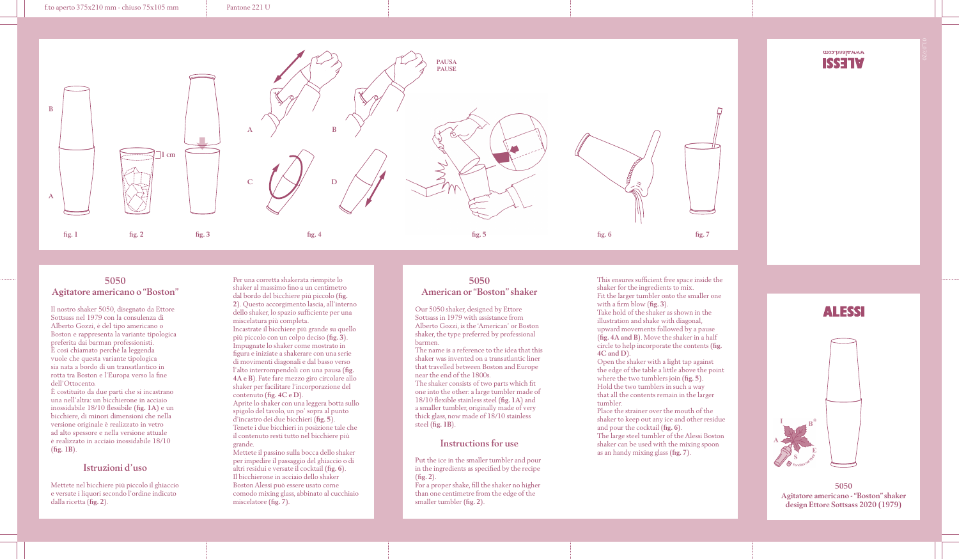#### f.to aperto 375x210 mm - chiuso 75x105 mm Pantone 221 U



## **5050 Agitatore americano o "Boston"**

Il nostro shaker 5050, disegnato da Ettore Sottsass nel 1979 con la consulenza di Alberto Gozzi, è del tipo americano o Boston e rappresenta la variante tipologica preferita dai barman professionisti. È così chiamato perché la leggenda vuole che questa variante tipologica sia nata a bordo di un transatlantico in rotta tra Boston e l'Europa verso la fine dell'Ottocento.

È costituito da due parti che si incastrano una nell'altra: un bicchierone in acciaio inossidabile 18/10 flessibile (**fig. 1A**) e un bicchiere, di minori dimensioni che nella versione originale è realizzato in vetro ad alto spessore e nella versione attuale è realizzato in acciaio inossidabile 18/10 (**fig. 1B**).

## **Istruzioni d'uso**

Mettete nel bicchiere più piccolo il ghiaccio e versate i liquori secondo l'ordine indicato dalla ricetta (**fig. 2**).

Per una corretta shakerata riempite lo shaker al massimo fino a un centimetro dal bordo del bicchiere più piccolo (**fig. 2**). Questo accorgimento lascia, all'interno dello shaker, lo spazio sufficiente per una miscelatura più completa. Incastrate il bicchiere più grande su quello più piccolo con un colpo deciso (**fig. 3**). Impugnate lo shaker come mostrato in figura e iniziate a shakerare con una serie di movimenti diagonali e dal basso verso l'alto interrompendoli con una pausa (**fig. 4A e B**). Fate fare mezzo giro circolare allo shaker per facilitare l'incorporazione del contenuto (**fig. 4C e D**). Aprite lo shaker con una leggera botta sullo spigolo del tavolo, un po' sopra al punto d'incastro dei due bicchieri (**fig. 5**). Tenete i due bicchieri in posizione tale che il contenuto resti tutto nel bicchiere più grande. Mettete il passino sulla bocca dello shaker per impedire il passaggio del ghiaccio o di altri residui e versate il cocktail (**fig. 6**). Il bicchierone in acciaio dello shaker Boston Alessi può essere usato come comodo mixing glass, abbinato al cucchiaio

miscelatore (**fig. 7**).

## **5050 American or "Boston" shaker**

Our 5050 shaker, designed by Ettore Sottsass in 1979 with assistance from Alberto Gozzi, is the 'American' or Boston shaker, the type preferred by professional barmen.

The name is a reference to the idea that this shaker was invented on a transatlantic liner that travelled between Boston and Europe near the end of the 1800s. The shaker consists of two parts which fit

one into the other: a large tumbler made of 18/10 flexible stainless steel (**fig. 1A**) and a smaller tumbler, originally made of very thick glass, now made of 18/10 stainless steel (**fig. 1B**).

#### **Instructions for use**

Put the ice in the smaller tumbler and pour in the ingredients as specified by the recipe (**fig. 2**).

For a proper shake, fill the shaker no higher than one centimetre from the edge of the smaller tumbler (**fig. 2**).

This ensures sufficient free space inside the shaker for the ingredients to mix. Fit the larger tumbler onto the smaller one with a firm blow (**fig. 3**). Take hold of the shaker as shown in the illustration and shake with diagonal, upward movements followed by a pause (**fig. 4A and B**). Move the shaker in a half circle to help incorporate the contents (**fig. 4C and D**).

Open the shaker with a light tap against the edge of the table a little above the point where the two tumblers join (**fig. 5**). Hold the two tumblers in such a way that all the contents remain in the larger tumbler.

Place the strainer over the mouth of the shaker to keep out any ice and other residue and pour the cocktail (**fig. 6**). The large steel tumbler of the Alessi Boston shaker can be used with the mixing spoon as an handy mixing glass (**fig. 7**).

# **ALESSI**

www.alessi.com **ISSETV** 



**5050 Agitatore americano - "Boston" shaker design Ettore Sottsass 2020 (1979)**